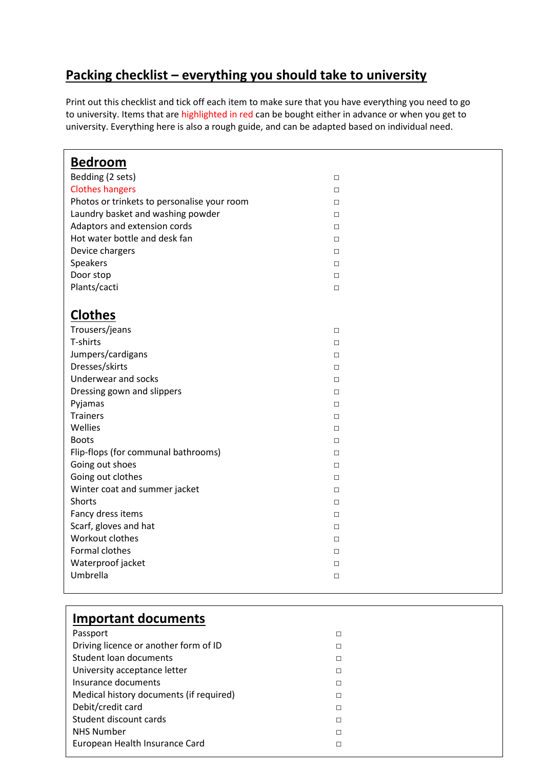## **Packing checklist – everything you should take to university**

Print out this checklist and tick off each item to make sure that you have everything you need to go to university. Items that are highlighted in red can be bought either in advance or when you get to university. Everything here is also a rough guide, and can be adapted based on individual need.

| <b>Bedroom</b>                              |        |
|---------------------------------------------|--------|
| Bedding (2 sets)                            | $\Box$ |
| <b>Clothes hangers</b>                      | $\Box$ |
| Photos or trinkets to personalise your room | $\Box$ |
| Laundry basket and washing powder           | $\Box$ |
| Adaptors and extension cords                | $\Box$ |
| Hot water bottle and desk fan               | $\Box$ |
| Device chargers                             | $\Box$ |
| Speakers                                    | $\Box$ |
| Door stop                                   | $\Box$ |
| Plants/cacti                                | $\Box$ |
|                                             |        |
| <b>Clothes</b>                              |        |
| Trousers/jeans                              | $\Box$ |
| T-shirts                                    | $\Box$ |
| Jumpers/cardigans                           | $\Box$ |
| Dresses/skirts                              | $\Box$ |
| Underwear and socks                         | $\Box$ |
| Dressing gown and slippers                  | $\Box$ |
| Pyjamas                                     | $\Box$ |
| <b>Trainers</b>                             | $\Box$ |
| Wellies                                     | $\Box$ |
| <b>Boots</b>                                | $\Box$ |
| Flip-flops (for communal bathrooms)         | $\Box$ |
| Going out shoes                             | $\Box$ |
| Going out clothes                           | $\Box$ |
| Winter coat and summer jacket               | $\Box$ |
| Shorts                                      | $\Box$ |
| Fancy dress items                           | $\Box$ |
| Scarf, gloves and hat                       | $\Box$ |
| Workout clothes                             | $\Box$ |
| Formal clothes                              | $\Box$ |
| Waterproof jacket                           | $\Box$ |
| Umbrella                                    | $\Box$ |
|                                             |        |
|                                             |        |

| <b>Important documents</b>              |   |
|-----------------------------------------|---|
| Passport                                | П |
| Driving licence or another form of ID   | □ |
| Student loan documents                  | П |
| University acceptance letter            |   |
| Insurance documents                     |   |
| Medical history documents (if required) |   |
| Debit/credit card                       | □ |
| Student discount cards                  | □ |
| <b>NHS Number</b>                       | П |
| European Health Insurance Card          |   |
|                                         |   |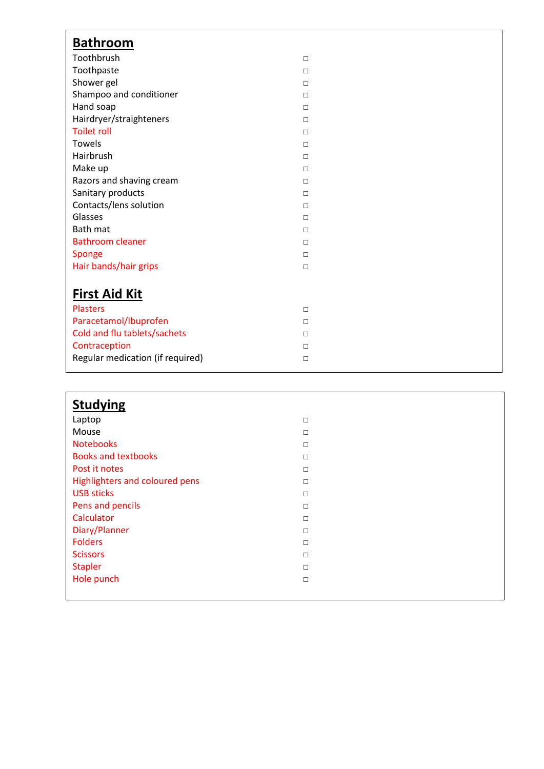| <b>Bathroom</b>                  |        |  |
|----------------------------------|--------|--|
| Toothbrush                       | $\Box$ |  |
| Toothpaste                       | $\Box$ |  |
| Shower gel                       | $\Box$ |  |
| Shampoo and conditioner          | $\Box$ |  |
| Hand soap                        | $\Box$ |  |
| Hairdryer/straighteners          | $\Box$ |  |
| <b>Toilet roll</b>               | $\Box$ |  |
| <b>Towels</b>                    | $\Box$ |  |
| Hairbrush                        | $\Box$ |  |
| Make up                          | $\Box$ |  |
| Razors and shaving cream         | $\Box$ |  |
| Sanitary products                | $\Box$ |  |
| Contacts/lens solution           | $\Box$ |  |
| Glasses                          | $\Box$ |  |
| Bath mat                         | $\Box$ |  |
| <b>Bathroom cleaner</b>          | $\Box$ |  |
| Sponge                           | $\Box$ |  |
| Hair bands/hair grips            | $\Box$ |  |
|                                  |        |  |
| <b>First Aid Kit</b>             |        |  |
| <b>Plasters</b>                  | $\Box$ |  |
| Paracetamol/Ibuprofen            | $\Box$ |  |
| Cold and flu tablets/sachets     | $\Box$ |  |
| Contraception                    | $\Box$ |  |
| Regular medication (if required) | $\Box$ |  |
|                                  |        |  |

| <b>Studying</b>                |        |
|--------------------------------|--------|
| Laptop                         | $\Box$ |
| Mouse                          | $\Box$ |
| <b>Notebooks</b>               | $\Box$ |
| <b>Books and textbooks</b>     | $\Box$ |
| Post it notes                  | $\Box$ |
| Highlighters and coloured pens | $\Box$ |
| <b>USB sticks</b>              | $\Box$ |
| Pens and pencils               | $\Box$ |
| Calculator                     | $\Box$ |
| Diary/Planner                  | $\Box$ |
| <b>Folders</b>                 | $\Box$ |
| <b>Scissors</b>                | $\Box$ |
| <b>Stapler</b>                 | $\Box$ |
| Hole punch                     | $\Box$ |
|                                |        |